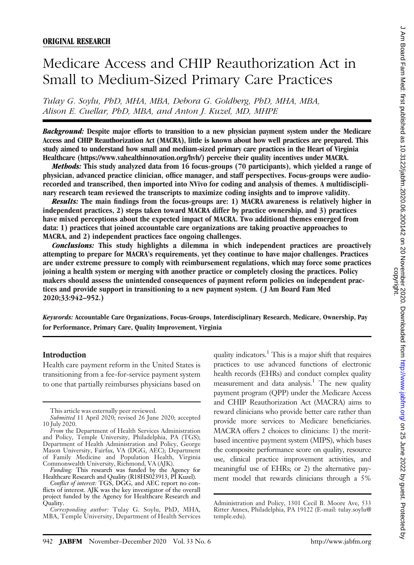# Medicare Access and CHIP Reauthorization Act in Small to Medium-Sized Primary Care Practices

Tulay G. Soylu, PhD, MHA, MBA, Debora G. Goldberg, PhD, MHA, MBA, Alison E. Cuellar, PhD, MBA, and Anton J. Kuzel, MD, MHPE

Background: Despite major efforts to transition to a new physician payment system under the Medicare Access and CHIP Reauthorization Act (MACRA), little is known about how well practices are prepared. This study aimed to understand how small and medium-sized primary care practices in the Heart of Virginia Healthcare (https://www.vahealthinnovation.org/hvh/) perceive their quality incentives under MACRA.

Methods: This study analyzed data from 16 focus-groups (70 participants), which yielded a range of physician, advanced practice clinician, office manager, and staff perspectives. Focus-groups were audiorecorded and transcribed, then imported into NVivo for coding and analysis of themes. A multidisciplinary research team reviewed the transcripts to maximize coding insights and to improve validity.

Results: The main findings from the focus-groups are: 1) MACRA awareness is relatively higher in independent practices, 2) steps taken toward MACRA differ by practice ownership, and 3) practices have mixed perceptions about the expected impact of MACRA. Two additional themes emerged from data: 1) practices that joined accountable care organizations are taking proactive approaches to MACRA, and 2) independent practices face ongoing challenges.

Conclusions: This study highlights a dilemma in which independent practices are proactively attempting to prepare for MACRA's requirements, yet they continue to have major challenges. Practices are under extreme pressure to comply with reimbursement regulations, which may force some practices joining a health system or merging with another practice or completely closing the practices. Policy makers should assess the unintended consequences of payment reform policies on independent practices and provide support in transitioning to a new payment system. ( J Am Board Fam Med 2020;33:942–952.)

Keywords: Accountable Care Organizations, Focus-Groups, Interdisciplinary Research, Medicare, Ownership, Pay for Performance, Primary Care, Quality Improvement, Virginia

## Introduction

Health care payment reform in the United States is transitioning from a fee-for-service payment system to one that partially reimburses physicians based on

quality indicators. $<sup>1</sup>$  This is a major shift that requires</sup> practices to use advanced functions of electronic health records (EHRs) and conduct complex quality measurement and data analysis.<sup>1</sup> The new quality payment program (QPP) under the Medicare Access and CHIP Reauthorization Act (MACRA) aims to reward clinicians who provide better care rather than provide more services to Medicare beneficiaries. MACRA offers 2 choices to clinicians: 1) the meritbased incentive payment system (MIPS), which bases the composite performance score on quality, resource use, clinical practice improvement activities, and meaningful use of EHRs; or 2) the alternative payment model that rewards clinicians through a 5%

This article was externally peer reviewed.

Submitted 11 April 2020; revised 26 June 2020; accepted 10 July 2020.

From the Department of Health Services Administration and Policy, Temple University, Philadelphia, PA (TGS); Department of Health Administration and Policy, George Mason University, Fairfax, VA (DGG, AEC); Department of Family Medicine and Population Health, Virginia Commonwealth University, Richmond, VA (AJK).

Funding: This research was funded by the Agency for Healthcare Research and Quality (R18HS023913, PI Kuzel).

Conflict of interest: TGS, DGG, and AEC report no conflicts of interest. AJK was the key investigator of the overall project funded by the Agency for Healthcare Research and Quality.

Corresponding author: Tulay G. Soylu, PhD, MHA, MBA, Temple University, Department of Health Services

Administration and Policy, 1301 Cecil B. Moore Ave, 533 Ritter Annex, Philadelphia, PA 19122 (E-mail: [tulay.soylu@](mailto:tulay.soylu@temple.edu) [temple.edu\)](mailto:tulay.soylu@temple.edu).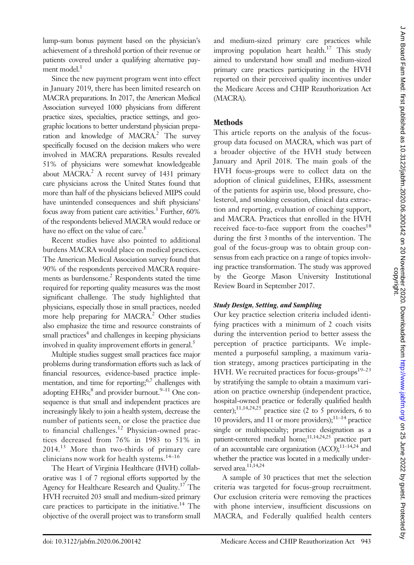lump-sum bonus payment based on the physician's achievement of a threshold portion of their revenue or patients covered under a qualifying alternative payment model.<sup>1</sup>

Since the new payment program went into effect in January 2019, there has been limited research on MACRA preparations. In 2017, the American Medical Association surveyed 1000 physicians from different practice sizes, specialties, practice settings, and geographic locations to better understand physician preparation and knowledge of  $MACRA<sup>2</sup>$  The survey specifically focused on the decision makers who were involved in MACRA preparations. Results revealed 51% of physicians were somewhat knowledgeable about MACRA.<sup>2</sup> A recent survey of  $1431$  primary care physicians across the United States found that more than half of the physicians believed MIPS could have unintended consequences and shift physicians' focus away from patient care activities.<sup>3</sup> Further,  $60\%$ of the respondents believed MACRA would reduce or have no effect on the value of care.<sup>3</sup>

Recent studies have also pointed to additional burdens MACRA would place on medical practices. The American Medical Association survey found that 90% of the respondents perceived MACRA requirements as burdensome.<sup>2</sup> Respondents stated the time required for reporting quality measures was the most significant challenge. The study highlighted that physicians, especially those in small practices, needed more help preparing for MACRA.<sup>2</sup> Other studies also emphasize the time and resource constraints of small practices<sup>4</sup> and challenges in keeping physicians involved in quality improvement efforts in general.<sup>5</sup>

Multiple studies suggest small practices face major problems during transformation efforts such as lack of financial resources, evidence-based practice implementation, and time for reporting; $6,7$  challenges with adopting  $EHRs<sub>i</sub><sup>8</sup>$  and provider burnout.<sup>9–11</sup> One consequence is that small and independent practices are increasingly likely to join a health system, decrease the number of patients seen, or close the practice due to financial challenges.<sup>12</sup> Physician-owned practices decreased from 76% in 1983 to 51% in 2014.<sup>13</sup> More than two-thirds of primary care clinicians now work for health systems.<sup>14–16</sup>

The Heart of Virginia Healthcare (HVH) collaborative was 1 of 7 regional efforts supported by the Agency for Healthcare Research and Quality.<sup>17</sup> The HVH recruited 203 small and medium-sized primary care practices to participate in the initiative.<sup>14</sup> The objective of the overall project was to transform small

and medium-sized primary care practices while improving population heart health.<sup>17</sup> This study aimed to understand how small and medium-sized primary care practices participating in the HVH reported on their perceived quality incentives under the Medicare Access and CHIP Reauthorization Act (MACRA).

# **Methods**

This article reports on the analysis of the focusgroup data focused on MACRA, which was part of a broader objective of the HVH study between January and April 2018. The main goals of the HVH focus-groups were to collect data on the adoption of clinical guidelines, EHRs, assessment of the patients for aspirin use, blood pressure, cholesterol, and smoking cessation, clinical data extraction and reporting, evaluation of coaching support, and MACRA. Practices that enrolled in the HVH received face-to-face support from the coaches<sup>18</sup> during the first 3 months of the intervention. The goal of the focus-group was to obtain group consensus from each practice on a range of topics involving practice transformation. The study was approved by the George Mason University Institutional Review Board in September 2017.

## Study Design, Setting, and Sampling

Our key practice selection criteria included identifying practices with a minimum of 2 coach visits during the intervention period to better assess the perception of practice participants. We implemented a purposeful sampling, a maximum variation strategy, among practices participating in the HVH. We recruited practices for focus-groups<sup>19-23</sup> by stratifying the sample to obtain a maximum variation on practice ownership (independent practice, hospital-owned practice or federally qualified health center);<sup>11,14,24,25</sup> practice size (2 to 5 providers, 6 to 10 providers, and 11 or more providers); $11-14$  practice single or multispecialty; practice designation as a patient-centered medical home; $11,14,24,25$  practice part of an accountable care organization (ACO); $^{11-14,24}$  and whether the practice was located in a medically underserved area.<sup>11,14,24</sup>

A sample of 30 practices that met the selection criteria was targeted for focus-group recruitment. Our exclusion criteria were removing the practices with phone interview, insufficient discussions on MACRA, and Federally qualified health centers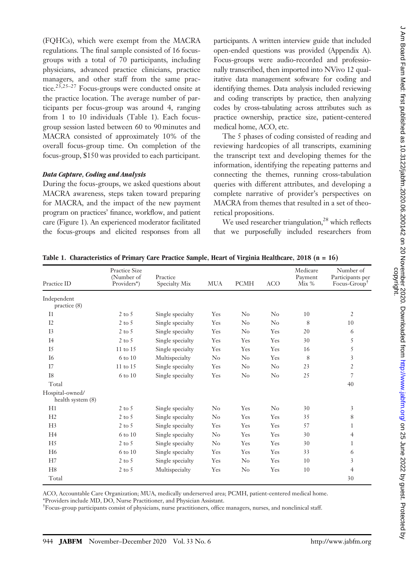(FQHCs), which were exempt from the MACRA regulations. The final sample consisted of 16 focusgroups with a total of 70 participants, including physicians, advanced practice clinicians, practice managers, and other staff from the same practice.<sup>23,25-27</sup> Focus-groups were conducted onsite at the practice location. The average number of participants per focus-group was around 4, ranging from 1 to 10 individuals (Table 1). Each focusgroup session lasted between 60 to 90 minutes and MACRA consisted of approximately 10% of the overall focus-group time. On completion of the focus-group, \$150 was provided to each participant.

#### Data Capture, Coding and Analysis

During the focus-groups, we asked questions about MACRA awareness, steps taken toward preparing for MACRA, and the impact of the new payment program on practices' finance, workflow, and patient care (Figure 1). An experienced moderator facilitated the focus-groups and elicited responses from all

participants. A written interview guide that included open-ended questions was provided ([Appendix A](#page-10-0)). Focus-groups were audio-recorded and professionally transcribed, then imported into NVivo 12 qualitative data management software for coding and identifying themes. Data analysis included reviewing and coding transcripts by practice, then analyzing codes by cross-tabulating across attributes such as practice ownership, practice size, patient-centered medical home, ACO, etc.

The 5 phases of coding consisted of reading and reviewing hardcopies of all transcripts, examining the transcript text and developing themes for the information, identifying the repeating patterns and connecting the themes, running cross-tabulation queries with different attributes, and developing a complete narrative of provider's perspectives on MACRA from themes that resulted in a set of theoretical propositions.

We used researcher triangulation,<sup>28</sup> which reflects that we purposefully included researchers from

| Practice ID                          | <b>Practice Size</b><br>(Number of<br>Providers*) | Practice<br>Specialty Mix | <b>MUA</b> | PCMH           | <b>ACO</b> | Medicare<br>Payment<br>Mix % | Number of<br>Participants per<br>$Focus-Group†$ |
|--------------------------------------|---------------------------------------------------|---------------------------|------------|----------------|------------|------------------------------|-------------------------------------------------|
| Independent<br>practice (8)          |                                                   |                           |            |                |            |                              |                                                 |
| I <sub>1</sub>                       | $2$ to 5                                          | Single specialty          | Yes        | $\rm No$       | $\rm No$   | 10                           | $\overline{2}$                                  |
| I2                                   | $2$ to 5                                          | Single specialty          | Yes        | $\rm No$       | $\rm No$   | 8                            | 10                                              |
| I <sub>3</sub>                       | $2$ to 5                                          | Single specialty          | Yes        | $\rm No$       | Yes        | 20                           | 6                                               |
| I4                                   | $2$ to 5                                          | Single specialty          | Yes        | Yes            | Yes        | 30                           | 5                                               |
| I5                                   | 11 to 15                                          | Single specialty          | Yes        | Yes            | Yes        | 16                           | 5                                               |
| I6                                   | 6 to 10                                           | Multispecialty            | $\rm No$   | $\rm No$       | Yes        | 8                            | 3                                               |
| I7                                   | 11 to 15                                          | Single specialty          | Yes        | $\rm No$       | No         | 23                           | $\overline{2}$                                  |
| <b>I8</b>                            | 6 to 10                                           | Single specialty          | Yes        | $\rm No$       | No         | 25                           | 7                                               |
| Total                                |                                                   |                           |            |                |            |                              | 40                                              |
| Hospital-owned/<br>health system (8) |                                                   |                           |            |                |            |                              |                                                 |
| H1                                   | $2$ to $5$                                        | Single specialty          | $\rm No$   | Yes            | $\rm No$   | 30                           | 3                                               |
| H2                                   | $2$ to $5$                                        | Single specialty          | No         | Yes            | Yes        | 35                           | 8                                               |
| H <sub>3</sub>                       | $2$ to $5$                                        | Single specialty          | Yes        | Yes            | Yes        | 57                           | 1                                               |
| H <sub>4</sub>                       | 6 to 10                                           | Single specialty          | No         | Yes            | Yes        | 30                           | $\overline{4}$                                  |
| H <sub>5</sub>                       | $2$ to $5$                                        | Single specialty          | $\rm No$   | Yes            | Yes        | 30                           | 1                                               |
| H <sub>6</sub>                       | 6 to 10                                           | Single specialty          | Yes        | Yes            | Yes        | 33                           | 6                                               |
| H7                                   | $2$ to $5$                                        | Single specialty          | Yes        | N <sub>0</sub> | Yes        | 10                           | 3                                               |
| H8                                   | $2$ to $5$                                        | Multispecialty            | Yes        | $\rm No$       | Yes        | 10                           | $\overline{4}$                                  |
| Total                                |                                                   |                           |            |                |            |                              | 30                                              |

Table 1. Characteristics of Primary Care Practice Sample, Heart of Virginia Healthcare, 2018 (n = 16)

ACO, Accountable Care Organization; MUA, medically underserved area; PCMH, patient-centered medical home.

\*Providers include MD, DO, Nurse Practitioner, and Physician Assistant.

† Focus-group participants consist of physicians, nurse practitioners, office managers, nurses, and nonclinical staff.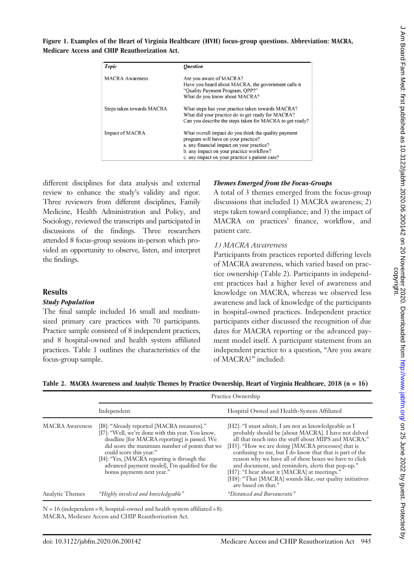## Figure 1. Examples of the Heart of Virginia Healthcare (HVH) focus-group questions. Abbreviation: MACRA, Medicare Access and CHIP Reauthorization Act.

| Topic                     | <i><b>Ouestion</b></i>                                                                                                                                                                                                                 |
|---------------------------|----------------------------------------------------------------------------------------------------------------------------------------------------------------------------------------------------------------------------------------|
| <b>MACRA</b> Awareness    | Are you aware of MACRA?<br>Have you heard about MACRA, the government calls it<br>"Quality Payment Program, OPP?"<br>What do you know about MACRA?                                                                                     |
| Steps taken towards MACRA | What steps has your practice taken towards MACRA?<br>What did your practice do to get ready for MACRA?<br>Can you describe the steps taken for MACRA to get ready?                                                                     |
| Impact of MACRA           | What overall impact do you think the quality payment<br>program will have on your practice?<br>a. any financial impact on your practice?<br>b. any impact on your practice workflow?<br>c. any impact on your practice's patient care? |

different disciplines for data analysis and external review to enhance the study's validity and rigor. Three reviewers from different disciplines, Family Medicine, Health Administration and Policy, and Sociology, reviewed the transcripts and participated in discussions of the findings. Three researchers attended 8 focus-group sessions in-person which provided an opportunity to observe, listen, and interpret the findings.

## **Results**

## Study Population

The final sample included 16 small and mediumsized primary care practices with 70 participants. Practice sample consisted of 8 independent practices, and 8 hospital-owned and health system affiliated practices. Table 1 outlines the characteristics of the focus-group sample.

## Themes Emerged from the Focus-Groups

A total of 3 themes emerged from the focus-group discussions that included 1) MACRA awareness; 2) steps taken toward compliance; and 3) the impact of MACRA on practices' finance, workflow, and patient care.

## 1) MACRA Awareness

Participants from practices reported differing levels of MACRA awareness, which varied based on practice ownership (Table 2). Participants in independent practices had a higher level of awareness and knowledge on MACRA, whereas we observed less awareness and lack of knowledge of the participants in hospital-owned practices. Independent practice participants either discussed the recognition of due dates for MACRA reporting or the advanced payment model itself. A participant statement from an independent practice to a question, "Are you aware of MACRA?" included:

|  |  |  |  | Table 2. MACRA Awareness and Analytic Themes by Practice Ownership, Heart of Virginia Healthcare, 2018 (n = 16) |  |  |  |
|--|--|--|--|-----------------------------------------------------------------------------------------------------------------|--|--|--|
|--|--|--|--|-----------------------------------------------------------------------------------------------------------------|--|--|--|

|                        |                                                                                                                                                                                                                                                                                                                                                             | Practice Ownership                                                                                                                                                                                                                                                                                                                                                                                                                                                                                                                          |
|------------------------|-------------------------------------------------------------------------------------------------------------------------------------------------------------------------------------------------------------------------------------------------------------------------------------------------------------------------------------------------------------|---------------------------------------------------------------------------------------------------------------------------------------------------------------------------------------------------------------------------------------------------------------------------------------------------------------------------------------------------------------------------------------------------------------------------------------------------------------------------------------------------------------------------------------------|
|                        | Independent                                                                                                                                                                                                                                                                                                                                                 | Hospital Owned and Health-System Affiliated                                                                                                                                                                                                                                                                                                                                                                                                                                                                                                 |
| <b>MACRA</b> Awareness | [I8]: "Already reported [MACRA measures]."<br>[I7]: "Well, we're done with this year. You know,<br>deadline [for MACRA reporting] is passed. We<br>did score the maximum number of points that we<br>could score this year."<br>[I4]: "Yes, [MACRA reporting is through the<br>advanced payment model], I'm qualified for the<br>bonus payments next year." | [H2]: "I must admit, I am not as knowledgeable as I<br>probably should be [about MACRA]. I have not delved<br>all that much into the stuff about MIPS and MACRA."<br>[H5]: "How we are doing [MACRA processes] that is<br>confusing to me, but $\bar{I}$ do know that that is part of the<br>reason why we have all of these boxes we have to click<br>and document, and reminders, alerts that pop-up."<br>[H7]: "I hear about it [MACRA] at meetings."<br>[H8]: "That [MACRA] sounds like, our quality initiatives<br>are based on that." |
| Analytic Themes        | "Highly involved and knowledgeable"                                                                                                                                                                                                                                                                                                                         | "Distanced and Bureaucratic"                                                                                                                                                                                                                                                                                                                                                                                                                                                                                                                |

 $N = 16$  (independent = 8; hospital-owned and health system affiliated = 8). MACRA, Medicare Access and CHIP Reauthorization Act.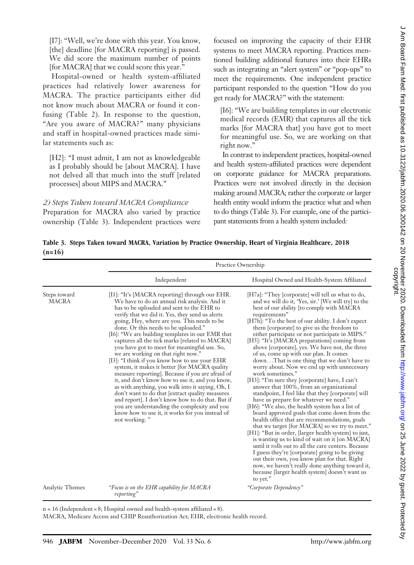[I7]: "Well, we're done with this year. You know, [the] deadline [for MACRA reporting] is passed. We did score the maximum number of points [for MACRA] that we could score this year."

Hospital-owned or health system-affiliated practices had relatively lower awareness for MACRA. The practice participants either did not know much about MACRA or found it confusing (Table 2). In response to the question, "Are you aware of MACRA?" many physicians and staff in hospital-owned practices made similar statements such as:

[H2]: "I must admit, I am not as knowledgeable as I probably should be [about MACRA]. I have not delved all that much into the stuff [related processes] about MIPS and MACRA."

#### 2) Steps Taken toward MACRA Compliance

Preparation for MACRA also varied by practice ownership (Table 3). Independent practices were focused on improving the capacity of their EHR systems to meet MACRA reporting. Practices mentioned building additional features into their EHRs such as integrating an "alert system" or "pop-ups" to meet the requirements. One independent practice participant responded to the question "How do you get ready for MACRA?" with the statement:

[I6]: "We are building templates in our electronic medical records (EMR) that captures all the tick marks [for MACRA that] you have got to meet for meaningful use. So, we are working on that right now."

In contrast to independent practices, hospital-owned and health system-affiliated practices were dependent on corporate guidance for MACRA preparations. Practices were not involved directly in the decision making around MACRA; rather the corporate or larger health entity would inform the practice what and when to do things (Table 3). For example, one of the participant statements from a health system included:

Table 3. Steps Taken toward MACRA, Variation by Practice Ownership, Heart of Virginia Healthcare, 2018  $(n=16)$ 

|                              |                                                                                                                                                                                                                                                                                                                                                                                                                                                                                                                                                                                                                                                                                                                                                                                                                                                                                                                                                                             | Practice Ownership                                                                                                                                                                                                                                                                                                                                                                                                                                                                                                                                                                                                                                                                                                                                                                                                                                                                                                                                                                                                                                                                                                                                                                                                                                                                                                                                                                  |
|------------------------------|-----------------------------------------------------------------------------------------------------------------------------------------------------------------------------------------------------------------------------------------------------------------------------------------------------------------------------------------------------------------------------------------------------------------------------------------------------------------------------------------------------------------------------------------------------------------------------------------------------------------------------------------------------------------------------------------------------------------------------------------------------------------------------------------------------------------------------------------------------------------------------------------------------------------------------------------------------------------------------|-------------------------------------------------------------------------------------------------------------------------------------------------------------------------------------------------------------------------------------------------------------------------------------------------------------------------------------------------------------------------------------------------------------------------------------------------------------------------------------------------------------------------------------------------------------------------------------------------------------------------------------------------------------------------------------------------------------------------------------------------------------------------------------------------------------------------------------------------------------------------------------------------------------------------------------------------------------------------------------------------------------------------------------------------------------------------------------------------------------------------------------------------------------------------------------------------------------------------------------------------------------------------------------------------------------------------------------------------------------------------------------|
|                              | Independent                                                                                                                                                                                                                                                                                                                                                                                                                                                                                                                                                                                                                                                                                                                                                                                                                                                                                                                                                                 | Hospital Owned and Health-System Affiliated                                                                                                                                                                                                                                                                                                                                                                                                                                                                                                                                                                                                                                                                                                                                                                                                                                                                                                                                                                                                                                                                                                                                                                                                                                                                                                                                         |
| Steps toward<br><b>MACRA</b> | [I1]: "It's [MACRA reporting] through our EHR.<br>We have to do an annual risk analysis. And it<br>has to be uploaded and sent to the EHR to<br>verify that we did it. Yes, they send us alerts<br>going, Hey, where are you. This needs to be<br>done. Or this needs to be uploaded."<br>[I6]: "We are building templates in our EMR that<br>captures all the tick marks [related to MACRA]<br>you have got to meet for meaningful use. So,<br>we are working on that right now."<br>[13]: "I think if you know how to use your EHR<br>system, it makes it better [for MACRA quality<br>measure reporting]. Because if you are afraid of<br>it, and don't know how to use it, and you know,<br>as with anything, you walk into it saying, Oh, I<br>don't want to do that [extract quality measures<br>and report]. I don't know how to do that. But if<br>you are understanding the complexity and you<br>know how to use it, it works for you instead of<br>not working." | [H7a]: "They [corporate] will tell us what to do,<br>and we will do it, 'Yes, sir.' [We will try] to the<br>best of our ability [to comply with MACRA<br>requirements"<br>[H7b]: "To the best of our ability. I don't expect<br>them [corporate] to give us the freedom to<br>either participate or not participate in MIPS."<br>[H5]: "It's [MACRA preparations] coming from<br>above [corporate], yes. We have not, the three<br>of us, come up with our plan. It comes<br>downThat is one thing that we don't have to<br>worry about. Now we end up with unnecessary<br>work sometimes."<br>[H3]: "I'm sure they [corporate] have, I can't<br>answer that 100%, from an organizational<br>standpoint, I feel like that they [corporate] will<br>have us prepare for whatever we need."<br>[H6]: "We also, the health system has a list of<br>board approved goals that come down from the<br>health office that are recommendations, goals<br>that we target [for MACRA] so we try to meet."<br>[H1]: "But in order, [larger health system] to just,<br>is wanting us to kind of wait on it [on MACRA]<br>until it rolls out to all the care centers. Because<br>I guess they're [corporate] going to be giving<br>out their own, you know plan for that. Right<br>now, we haven't really done anything toward it,<br>because [larger health system] doesn't want us<br>to yet." |
| Analytic Themes              | "Focus is on the EHR capability for MACRA<br>reporting"                                                                                                                                                                                                                                                                                                                                                                                                                                                                                                                                                                                                                                                                                                                                                                                                                                                                                                                     | "Corporate Dependency"                                                                                                                                                                                                                                                                                                                                                                                                                                                                                                                                                                                                                                                                                                                                                                                                                                                                                                                                                                                                                                                                                                                                                                                                                                                                                                                                                              |

 $n = 16$  (Independent = 8; Hospital owned and health-system affiliated = 8).

MACRA, Medicare Access and CHIP Reauthorization Act; EHR, electronic health record.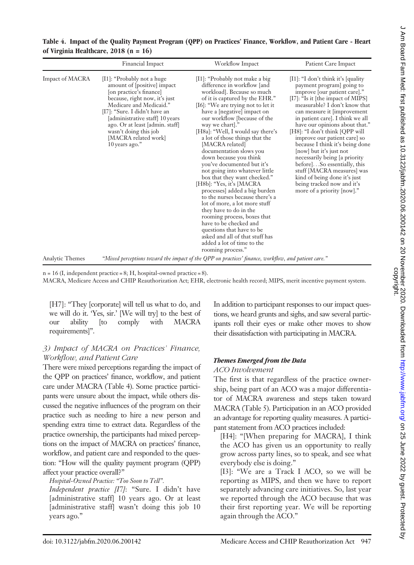|  | Table 4. Impact of the Quality Payment Program (QPP) on Practices' Finance, Workflow, and Patient Care - Heart |  |  |  |  |
|--|----------------------------------------------------------------------------------------------------------------|--|--|--|--|
|  | of Virginia Healthcare, 2018 (n = 16)                                                                          |  |  |  |  |

|                        | Financial Impact                                                                                                                                                                                                                                                                                                           | <b>Workflow Impact</b>                                                                                                                                                                                                                                                                                                                                                                                                                                                                                                                                                                                                                                                                                                                                                                                                                          | Patient Care Impact                                                                                                                                                                                                                                                                                                                                                                                                                                                                                                                                                                                        |
|------------------------|----------------------------------------------------------------------------------------------------------------------------------------------------------------------------------------------------------------------------------------------------------------------------------------------------------------------------|-------------------------------------------------------------------------------------------------------------------------------------------------------------------------------------------------------------------------------------------------------------------------------------------------------------------------------------------------------------------------------------------------------------------------------------------------------------------------------------------------------------------------------------------------------------------------------------------------------------------------------------------------------------------------------------------------------------------------------------------------------------------------------------------------------------------------------------------------|------------------------------------------------------------------------------------------------------------------------------------------------------------------------------------------------------------------------------------------------------------------------------------------------------------------------------------------------------------------------------------------------------------------------------------------------------------------------------------------------------------------------------------------------------------------------------------------------------------|
| <b>Impact of MACRA</b> | [I1]: "Probably not a huge<br>amount of [positive] impact<br>[on practice's finance]<br>because, right now, it's just<br>Medicare and Medicaid."<br>[I7]: "Sure. I didn't have an<br>[administrative staff] 10 years<br>ago. Or at least [admin. staff]<br>wasn't doing this job<br>[MACRA related work]<br>10 years ago." | [I1]: "Probably not make a big<br>difference in workflow [and<br>workload]. Because so much<br>of it is captured by the EHR."<br>$[16]$ : "We are trying not to let it<br>have a [negative] impact on<br>our workflow [because of the<br>way we chart]."<br>[H8a]: "Well, I would say there's<br>a lot of those things that the<br>[MACRA related]<br>documentation slows you<br>down because you think<br>you've documented but it's<br>not going into whatever little<br>box that they want checked."<br>[H8b]: "Yes, it's [MACRA]<br>processes] added a big burden<br>to the nurses because there's a<br>lot of more, a lot more stuff<br>they have to do in the<br>rooming process, boxes that<br>have to be checked and<br>questions that have to be<br>asked and all of that stuff has<br>added a lot of time to the<br>rooming process." | $[11]$ : "I don't think it's $[quality]$<br>payment program] going to<br>improve [our patient care]."<br>[I7]: "Is it [the impact of MIPS]<br>measurable? I don't know that<br>can measure it [improvement]<br>in patient care]. I think we all<br>have our opinions about that."<br>[H8]: "I don't think [QPP will<br>improve our patient care so<br>because I think it's being done<br>[now] but it's just not<br>necessarily being [a priority<br>before]So essentially, this<br>stuff [MACRA measures] was<br>kind of being done it's just<br>being tracked now and it's<br>more of a priority [now]." |
| <b>Analytic Themes</b> |                                                                                                                                                                                                                                                                                                                            | "Mixed perceptions toward the impact of the QPP on practices' finance, workflow, and patient care."                                                                                                                                                                                                                                                                                                                                                                                                                                                                                                                                                                                                                                                                                                                                             |                                                                                                                                                                                                                                                                                                                                                                                                                                                                                                                                                                                                            |

 $n = 16$  (I, independent practice = 8; H, hospital-owned practice = 8).

MACRA, Medicare Access and CHIP Reauthorization Act; EHR, electronic health record; MIPS, merit incentive payment system.

[H7]: "They [corporate] will tell us what to do, and we will do it. 'Yes, sir.' [We will try] to the best of our ability [to comply with MACRA requirements]".

## 3) Impact of MACRA on Practices' Finance, Workflow, and Patient Care

There were mixed perceptions regarding the impact of the QPP on practices' finance, workflow, and patient care under MACRA (Table 4). Some practice participants were unsure about the impact, while others discussed the negative influences of the program on their practice such as needing to hire a new person and spending extra time to extract data. Regardless of the practice ownership, the participants had mixed perceptions on the impact of MACRA on practices' finance, workflow, and patient care and responded to the question: "How will the quality payment program (QPP) affect your practice overall?"

Hospital-Owned Practice: "Too Soon to Tell".

Independent practice [I7]: "Sure. I didn't have [administrative staff] 10 years ago. Or at least [administrative staff] wasn't doing this job 10 years ago."

In addition to participant responses to our impact questions, we heard grunts and sighs, and saw several participants roll their eyes or make other moves to show their dissatisfaction with participating in MACRA.

## Themes Emerged from the Data

#### ACO Involvement

The first is that regardless of the practice ownership, being part of an ACO was a major differentiator of MACRA awareness and steps taken toward MACRA (Table 5). Participation in an ACO provided an advantage for reporting quality measures. A participant statement from ACO practices included:

[H4]: "[When preparing for MACRA], I think the ACO has given us an opportunity to really grow across party lines, so to speak, and see what everybody else is doing."

[I3]: "We are a Track I ACO, so we will be reporting as MIPS, and then we have to report separately advancing care initiatives. So, last year we reported through the ACO because that was their first reporting year. We will be reporting again through the ACO."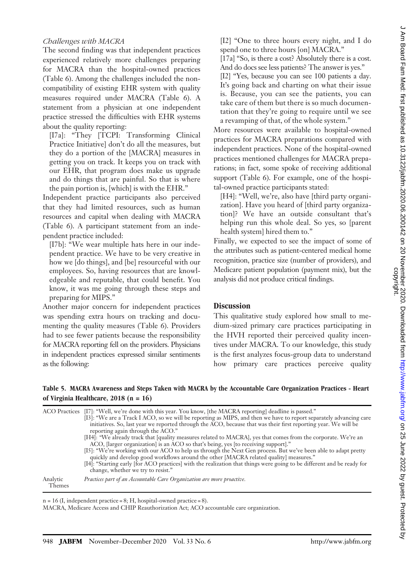## Challenges with MACRA

The second finding was that independent practices experienced relatively more challenges preparing for MACRA than the hospital-owned practices (Table 6). Among the challenges included the noncompatibility of existing EHR system with quality measures required under MACRA (Table 6). A statement from a physician at one independent practice stressed the difficulties with EHR systems about the quality reporting:

[I7a]: "They [TCPI: Transforming Clinical Practice Initiative] don't do all the measures, but they do a portion of the [MACRA] measures in getting you on track. It keeps you on track with our EHR, that program does make us upgrade and do things that are painful. So that is where the pain portion is, [which] is with the EHR."

Independent practice participants also perceived that they had limited resources, such as human resources and capital when dealing with MACRA (Table 6). A participant statement from an independent practice included:

[I7b]: "We wear multiple hats here in our independent practice. We have to be very creative in how we [do things], and [be] resourceful with our employees. So, having resources that are knowledgeable and reputable, that could benefit. You know, it was me going through these steps and preparing for MIPS."

Another major concern for independent practices was spending extra hours on tracking and documenting the quality measures (Table 6). Providers had to see fewer patients because the responsibility for MACRA reporting fell on the providers. Physicians in independent practices expressed similar sentiments as the following:

[I2] "One to three hours every night, and I do spend one to three hours [on] MACRA."

[17a] "So, is there a cost? Absolutely there is a cost. And do docs see less patients? The answer is yes."

[I2] "Yes, because you can see 100 patients a day. It's going back and charting on what their issue is. Because, you can see the patients, you can take care of them but there is so much documentation that they're going to require until we see a revamping of that, of the whole system."

More resources were available to hospital-owned practices for MACRA preparations compared with independent practices. None of the hospital-owned practices mentioned challenges for MACRA preparations; in fact, some spoke of receiving additional support (Table 6). For example, one of the hospital-owned practice participants stated:

[H4]: "Well, we're, also have [third party organization]. Have you heard of [third party organization]? We have an outside consultant that's helping run this whole deal. So yes, so [parent health system] hired them to."

Finally, we expected to see the impact of some of the attributes such as patient-centered medical home recognition, practice size (number of providers), and Medicare patient population (payment mix), but the analysis did not produce critical findings.

## **Discussion**

This qualitative study explored how small to medium-sized primary care practices participating in the HVH reported their perceived quality incentives under MACRA. To our knowledge, this study is the first analyzes focus-group data to understand how primary care practices perceive quality

## Table 5. MACRA Awareness and Steps Taken with MACRA by the Accountable Care Organization Practices - Heart of Virginia Healthcare, 2018 (n = 16)

|                    | ACO Practices [I7]: "Well, we're done with this year. You know, [the MACRA reporting] deadline is passed."<br>[I3]: "We are a Track I ACO, so we will be reporting as MIPS, and then we have to report separately advancing care<br>initiatives. So, last year we reported through the ACO, because that was their first reporting year. We will be<br>reporting again through the ACO."<br>[H4]: "We already track that [quality measures related to MACRA], yes that comes from the corporate. We're an<br>ACO, [larger organization] is an ACO so that's being, yes [to receiving support]."<br>[15]: "We're working with our ACO to help us through the Next Gen process. But we've been able to adapt pretty<br>quickly and develop good workflows around the other [MACRA related quality] measures."<br>[I4]: "Starting early [for ACO practices] with the realization that things were going to be different and be ready for<br>change, whether we try to resist." |
|--------------------|-----------------------------------------------------------------------------------------------------------------------------------------------------------------------------------------------------------------------------------------------------------------------------------------------------------------------------------------------------------------------------------------------------------------------------------------------------------------------------------------------------------------------------------------------------------------------------------------------------------------------------------------------------------------------------------------------------------------------------------------------------------------------------------------------------------------------------------------------------------------------------------------------------------------------------------------------------------------------------|
| Analytic<br>Themes | Practices part of an Accountable Care Organization are more proactive.                                                                                                                                                                                                                                                                                                                                                                                                                                                                                                                                                                                                                                                                                                                                                                                                                                                                                                      |

 $n = 16$  (I, independent practice = 8; H, hospital-owned practice = 8).

MACRA, Medicare Access and CHIP Reauthorization Act; ACO accountable care organization.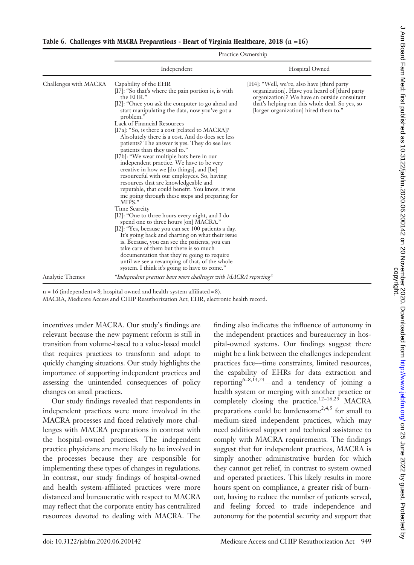|                        | <b>FIACLICE OWNERSHIP</b>                                                                                                                                                                                                                                                                                                                                                                                                                                                                                                                                                                                                                                                                                                                                                                                                                                                                                                                                                                                                                                                                                                                                                                                                                         |                                                                                                                                                                                                                                         |  |
|------------------------|---------------------------------------------------------------------------------------------------------------------------------------------------------------------------------------------------------------------------------------------------------------------------------------------------------------------------------------------------------------------------------------------------------------------------------------------------------------------------------------------------------------------------------------------------------------------------------------------------------------------------------------------------------------------------------------------------------------------------------------------------------------------------------------------------------------------------------------------------------------------------------------------------------------------------------------------------------------------------------------------------------------------------------------------------------------------------------------------------------------------------------------------------------------------------------------------------------------------------------------------------|-----------------------------------------------------------------------------------------------------------------------------------------------------------------------------------------------------------------------------------------|--|
|                        | Independent                                                                                                                                                                                                                                                                                                                                                                                                                                                                                                                                                                                                                                                                                                                                                                                                                                                                                                                                                                                                                                                                                                                                                                                                                                       | Hospital Owned                                                                                                                                                                                                                          |  |
| Challenges with MACRA  | Capability of the EHR<br>[I7]: "So that's where the pain portion is, is with<br>the EHR."<br>[I2]: "Once you ask the computer to go ahead and<br>start manipulating the data, now you've got a<br>problem."<br>Lack of Financial Resources<br>[I7a]: "So, is there a cost [related to MACRA]?<br>Absolutely there is a cost. And do docs see less<br>patients? The answer is yes. They do see less<br>patients than they used to."<br>[I7b]: "We wear multiple hats here in our<br>independent practice. We have to be very<br>creative in how we [do things], and [be]<br>resourceful with our employees. So, having<br>resources that are knowledgeable and<br>reputable, that could benefit. You know, it was<br>me going through these steps and preparing for<br>MIPS."<br>Time Scarcity<br>[I2]: "One to three hours every night, and I do<br>spend one to three hours [on] MACRA."<br>[I2]: "Yes, because you can see 100 patients a day.<br>It's going back and charting on what their issue<br>is. Because, you can see the patients, you can<br>take care of them but there is so much<br>documentation that they're going to require<br>until we see a revamping of that, of the whole<br>system. I think it's going to have to come." | [H4]: "Well, we're, also have [third party]<br>organization]. Have you heard of [third party<br>organization]? We have an outside consultant<br>that's helping run this whole deal. So yes, so<br>[larger organization] hired them to." |  |
| <b>Analytic Themes</b> | "Independent practices have more challenges with MACRA reporting"                                                                                                                                                                                                                                                                                                                                                                                                                                                                                                                                                                                                                                                                                                                                                                                                                                                                                                                                                                                                                                                                                                                                                                                 |                                                                                                                                                                                                                                         |  |

 $D_{\text{max}}$  or  $O_{\text{max}}$ 

n = 16 (independent = 8; hospital owned and health-system affiliated = 8).

MACRA, Medicare Access and CHIP Reauthorization Act; EHR, electronic health record.

incentives under MACRA. Our study's findings are relevant because the new payment reform is still in transition from volume-based to a value-based model that requires practices to transform and adopt to quickly changing situations. Our study highlights the importance of supporting independent practices and assessing the unintended consequences of policy changes on small practices.

Our study findings revealed that respondents in independent practices were more involved in the MACRA processes and faced relatively more challenges with MACRA preparations in contrast with the hospital-owned practices. The independent practice physicians are more likely to be involved in the processes because they are responsible for implementing these types of changes in regulations. In contrast, our study findings of hospital-owned and health system-affiliated practices were more distanced and bureaucratic with respect to MACRA may reflect that the corporate entity has centralized resources devoted to dealing with MACRA. The

finding also indicates the influence of autonomy in the independent practices and bureaucracy in hospital-owned systems. Our findings suggest there might be a link between the challenges independent practices face––time constraints, limited resources, the capability of EHRs for data extraction and reporting<sup>6–8,14,24</sup>—and a tendency of joining a health system or merging with another practice or completely closing the practice.<sup>12-16,29</sup> MACRA preparations could be burdensome<sup>2,4,5</sup> for small to medium-sized independent practices, which may need additional support and technical assistance to comply with MACRA requirements. The findings suggest that for independent practices, MACRA is simply another administrative burden for which they cannot get relief, in contrast to system owned and operated practices. This likely results in more hours spent on compliance, a greater risk of burnout, having to reduce the number of patients served, and feeling forced to trade independence and autonomy for the potential security and support that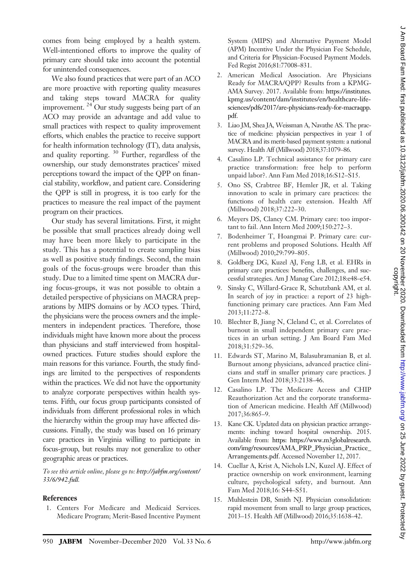comes from being employed by a health system. Well-intentioned efforts to improve the quality of primary care should take into account the potential for unintended consequences.

We also found practices that were part of an ACO are more proactive with reporting quality measures and taking steps toward MACRA for quality improvement.<sup>24</sup> Our study suggests being part of an ACO may provide an advantage and add value to small practices with respect to quality improvement efforts, which enables the practice to receive support for health information technology (IT), data analysis, and quality reporting. <sup>30</sup> Further, regardless of the ownership, our study demonstrates practices' mixed perceptions toward the impact of the QPP on financial stability, workflow, and patient care. Considering the QPP is still in progress, it is too early for the practices to measure the real impact of the payment program on their practices.

Our study has several limitations. First, it might be possible that small practices already doing well may have been more likely to participate in the study. This has a potential to create sampling bias as well as positive study findings. Second, the main goals of the focus-groups were broader than this study. Due to a limited time spent on MACRA during focus-groups, it was not possible to obtain a detailed perspective of physicians on MACRA preparations by MIPS domains or by ACO types. Third, the physicians were the process owners and the implementers in independent practices. Therefore, those individuals might have known more about the process than physicians and staff interviewed from hospitalowned practices. Future studies should explore the main reasons for this variance. Fourth, the study findings are limited to the perspectives of respondents within the practices. We did not have the opportunity to analyze corporate perspectives within health systems. Fifth, our focus group participants consisted of individuals from different professional roles in which the hierarchy within the group may have affected discussions. Finally, the study was based on 16 primary care practices in Virginia willing to participate in focus-group, but results may not generalize to other geographic areas or practices.

To see this article online, please go to: [http://jabfm.org/content/](http://jabfm.org/content/33/6/942.full) [33/6/942.full](http://jabfm.org/content/33/6/942.full).

## References

1. Centers For Medicare and Medicaid Services. Medicare Program; Merit-Based Incentive Payment System (MIPS) and Alternative Payment Model (APM) Incentive Under the Physician Fee Schedule, and Criteria for Physician-Focused Payment Models. Fed Regist 2016;81:77008–831.

- 2. American Medical Association. Are Physicians Ready for MACRA/QPP? Results from a KPMG-AMA Survey. 2017. Available from: [https://institutes.](https://institutes.kpmg.us/content/dam/institutes/en/healthcare-life-sciences/pdfs/2017/are-physicians-ready-for-macraqpp.pdf) [kpmg.us/content/dam/institutes/en/healthcare-life](https://institutes.kpmg.us/content/dam/institutes/en/healthcare-life-sciences/pdfs/2017/are-physicians-ready-for-macraqpp.pdf)[sciences/pdfs/2017/are-physicians-ready-for-macraqpp.](https://institutes.kpmg.us/content/dam/institutes/en/healthcare-life-sciences/pdfs/2017/are-physicians-ready-for-macraqpp.pdf) [pdf.](https://institutes.kpmg.us/content/dam/institutes/en/healthcare-life-sciences/pdfs/2017/are-physicians-ready-for-macraqpp.pdf)
- 3. Liao JM, Shea JA, Weissman A, Navathe AS. The practice of medicine: physician perspectives in year 1 of MACRA and its merit-based payment system: a national survey. Health Aff (Millwood) 2018;37:1079–86.
- 4. Casalino LP. Technical assistance for primary care practice transformation: free help to perform unpaid labor?. Ann Fam Med 2018;16:S12–S15.
- 5. Ono SS, Crabtree BF, Hemler JR, et al. Taking innovation to scale in primary care practices: the functions of health care extension. Health Aff (Millwood) 2018;37:222–30.
- 6. Meyers DS, Clancy CM. Primary care: too important to fail. Ann Intern Med 2009;150:272–3.
- 7. Bodenheimer T, Hoangmai P. Primary care: current problems and proposed Solutions. Health Aff (Millwood) 2010;29:799–805.
- 8. Goldberg DG, Kuzel AJ, Feng LB, et al. EHRs in primary care practices: benefits, challenges, and successful strategies. Am J Manag Care 2012;18:e48–e54.
- 9. Sinsky C, Willard-Grace R, Schutzbank AM, et al. In search of joy in practice: a report of 23 highfunctioning primary care practices. Ann Fam Med 2013;11:272–8.
- 10. Blechter B, Jiang N, Cleland C, et al. Correlates of burnout in small independent primary care practices in an urban setting. J Am Board Fam Med 2018;31:529–36.
- 11. Edwards ST, Marino M, Balasubramanian B, et al. Burnout among physicians, advanced practice clinicians and staff in smaller primary care practices. J Gen Intern Med 2018;33:2138–46.
- 12. Casalino LP. The Medicare Access and CHIP Reauthorization Act and the corporate transformation of American medicine. Health Aff (Millwood) 2017;36:865–9.
- 13. Kane CK. Updated data on physician practice arrangements: inching toward hospital ownership. 2015. Available from: [https: https://www.m3globalresearch.](https: https://www.m3globalresearch.com/img/resources/AMA_PRP_Physician_Practice_Arrangements.pdf) [com/img/resources/AMA\\_PRP\\_Physician\\_Practice\\_](https: https://www.m3globalresearch.com/img/resources/AMA_PRP_Physician_Practice_Arrangements.pdf) [Arrangements.pdf](https: https://www.m3globalresearch.com/img/resources/AMA_PRP_Physician_Practice_Arrangements.pdf). Accessed November 12, 2017.
- 14. Cuellar A, Krist A, Nichols LN, Kuzel AJ. Effect of practice ownership on work environment, learning culture, psychological safety, and burnout. Ann Fam Med 2018;16: S44–S51.
- 15. Muhlestein DB, Smith NJ. Physician consolidation: rapid movement from small to large group practices, 2013–15. Health Aff (Millwood) 2016;35:1638–42.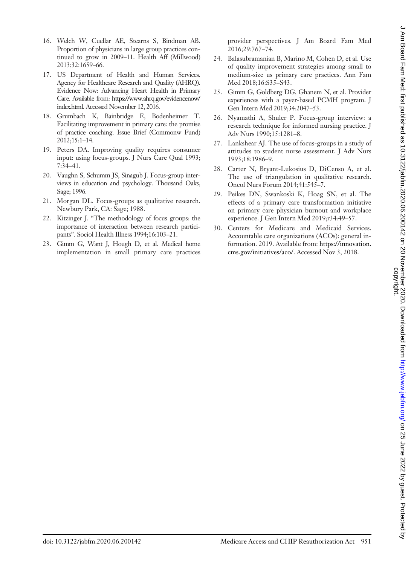- 16. Welch W, Cuellar AE, Stearns S, Bindman AB. Proportion of physicians in large group practices continued to grow in 2009–11. Health Aff (Millwood) 2013;32:1659–66.
- 17. US Department of Health and Human Services. Agency for Healthcare Research and Quality (AHRQ). Evidence Now: Advancing Heart Health in Primary Care. Available from: [https://www.ahrq.gov/evidencenow/](https://www.ahrq.gov/evidencenow/index.html) [index.html](https://www.ahrq.gov/evidencenow/index.html). Accessed November 12, 2016.
- 18. Grumbach K, Bainbridge E, Bodenheimer T. Facilitating improvement in primary care: the promise of practice coaching. Issue Brief (Commonw Fund) 2012;15:1–14.
- 19. Peters DA. Improving quality requires consumer input: using focus-groups. J Nurs Care Qual 1993; 7:34–41.
- 20. Vaughn S, Schumm JS, Sinagub J. Focus-group interviews in education and psychology. Thousand Oaks, Sage; 1996.
- 21. Morgan DL. Focus-groups as qualitative research. Newbury Park, CA: Sage; 1988.
- 22. Kitzinger J. "The methodology of focus groups: the importance of interaction between research participants". Sociol Health Illness 1994;16:103–21.
- 23. Gimm G, Want J, Hough D, et al. Medical home implementation in small primary care practices

provider perspectives. J Am Board Fam Med 2016;29:767–74.

- 24. Balasubramanian B, Marino M, Cohen D, et al. Use of quality improvement strategies among small to medium-size us primary care practices. Ann Fam Med 2018;16:S35–S43.
- 25. Gimm G, Goldberg DG, Ghanem N, et al. Provider experiences with a payer-based PCMH program. J Gen Intern Med 2019;34:2047–53.
- 26. Nyamathi A, Shuler P. Focus-group interview: a research technique for informed nursing practice. J Adv Nurs 1990;15:1281–8.
- 27. Lankshear AJ. The use of focus-groups in a study of attitudes to student nurse assessment. J Adv Nurs 1993;18:1986–9.
- 28. Carter N, Bryant-Lukosius D, DiCenso A, et al. The use of triangulation in qualitative research. Oncol Nurs Forum 2014;41:545–7.
- 29. Peikes DN, Swankoski K, Hoag SN, et al. The effects of a primary care transformation initiative on primary care physician burnout and workplace experience. J Gen Intern Med 2019;r34:49–57.
- 30. Centers for Medicare and Medicaid Services. Accountable care organizations (ACOs): general information. 2019. Available from: [https://innovation.](https://innovation.cms.gov/initiatives/aco/) [cms.gov/initiatives/aco/.](https://innovation.cms.gov/initiatives/aco/) Accessed Nov 3, 2018.